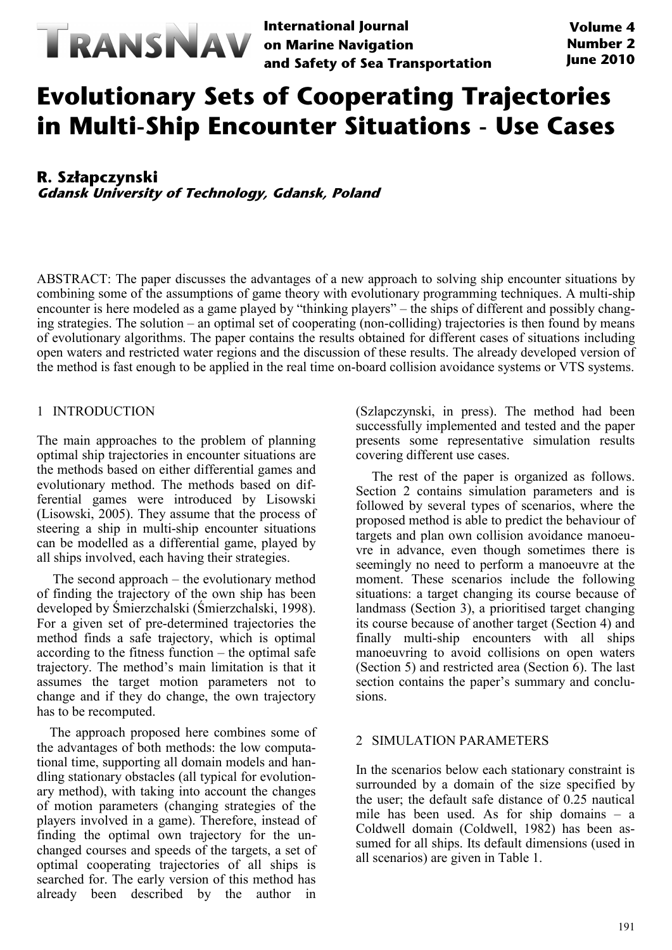

**International Journal on Marine Navigation and Safety of Sea Transportation**

# **Evolutionary Sets of Cooperating Trajectories in Multi-Ship Encounter Situations - Use Cases**

## **R. Szłapczynski**

**Gdansk University of Technology, Gdansk, Poland**

ABSTRACT: The paper discusses the advantages of a new approach to solving ship encounter situations by combining some of the assumptions of game theory with evolutionary programming techniques. A multi-ship encounter is here modeled as a game played by "thinking players" – the ships of different and possibly changing strategies. The solution – an optimal set of cooperating (non-colliding) trajectories is then found by means of evolutionary algorithms. The paper contains the results obtained for different cases of situations including open waters and restricted water regions and the discussion of these results. The already developed version of the method is fast enough to be applied in the real time on-board collision avoidance systems or VTS systems.

## 1 INTRODUCTION

The main approaches to the problem of planning optimal ship trajectories in encounter situations are the methods based on either differential games and evolutionary method. The methods based on differential games were introduced by Lisowski (Lisowski, 2005). They assume that the process of steering a ship in multi-ship encounter situations can be modelled as a differential game, played by all ships involved, each having their strategies.

The second approach – the evolutionary method of finding the trajectory of the own ship has been developed by Śmierzchalski (Śmierzchalski, 1998). For a given set of pre-determined trajectories the method finds a safe trajectory, which is optimal according to the fitness function – the optimal safe trajectory. The method's main limitation is that it assumes the target motion parameters not to change and if they do change, the own trajectory has to be recomputed.

The approach proposed here combines some of the advantages of both methods: the low computational time, supporting all domain models and handling stationary obstacles (all typical for evolutionary method), with taking into account the changes of motion parameters (changing strategies of the players involved in a game). Therefore, instead of finding the optimal own trajectory for the unchanged courses and speeds of the targets, a set of optimal cooperating trajectories of all ships is searched for. The early version of this method has already been described by the author in

(Szlapczynski, in press). The method had been successfully implemented and tested and the paper presents some representative simulation results covering different use cases.

The rest of the paper is organized as follows. Section 2 contains simulation parameters and is followed by several types of scenarios, where the proposed method is able to predict the behaviour of targets and plan own collision avoidance manoeuvre in advance, even though sometimes there is seemingly no need to perform a manoeuvre at the moment. These scenarios include the following situations: a target changing its course because of landmass (Section 3), a prioritised target changing its course because of another target (Section 4) and finally multi-ship encounters with all ships manoeuvring to avoid collisions on open waters (Section 5) and restricted area (Section 6). The last section contains the paper's summary and conclusions.

#### 2 SIMULATION PARAMETERS

In the scenarios below each stationary constraint is surrounded by a domain of the size specified by the user; the default safe distance of 0.25 nautical mile has been used. As for ship domains – a Coldwell domain (Coldwell, 1982) has been assumed for all ships. Its default dimensions (used in all scenarios) are given in Table 1.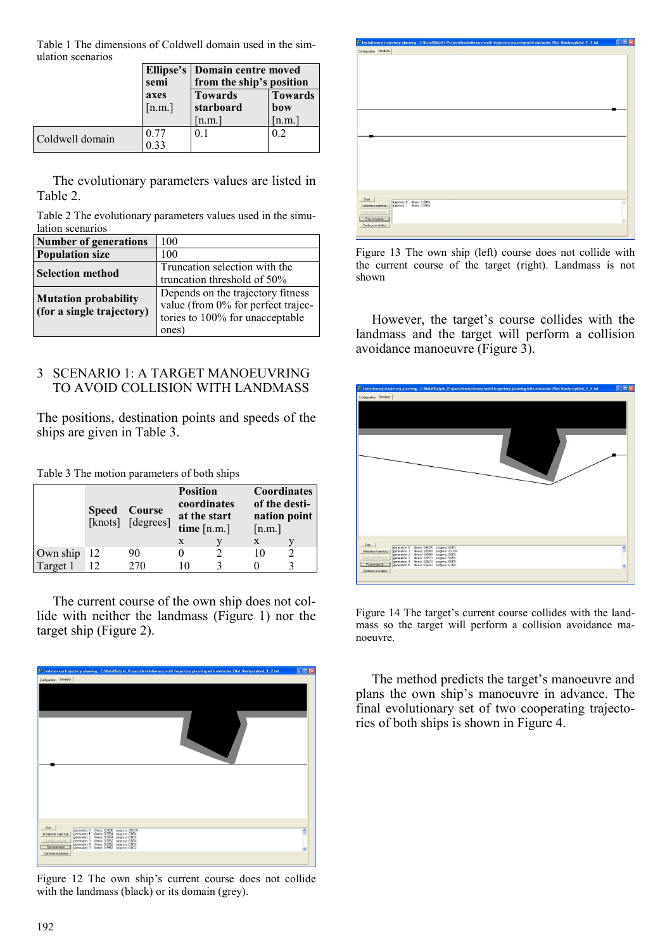Table 1 The dimensions of Coldwell domain used in the simulation scenarios

|                 |        | Ellipse's   Domain centre moved |                |  |  |
|-----------------|--------|---------------------------------|----------------|--|--|
|                 | semi   | from the ship's position        |                |  |  |
|                 | axes   | <b>Towards</b>                  | <b>Towards</b> |  |  |
|                 | [n.m.] | starboard                       | bow            |  |  |
|                 |        | [n.m.]                          | [n.m.]         |  |  |
| Coldwell domain |        | 0.1                             | 0.2            |  |  |
|                 | 0.32   |                                 |                |  |  |

The evolutionary parameters values are listed in Table 2.

| Table 2 The evolutionary parameters values used in the simu- |  |  |  |
|--------------------------------------------------------------|--|--|--|
| lation scenarios                                             |  |  |  |

| <b>Number of generations</b> | 100                                |
|------------------------------|------------------------------------|
| <b>Population size</b>       | 100                                |
| <b>Selection method</b>      | Truncation selection with the      |
|                              | truncation threshold of 50%        |
| <b>Mutation probability</b>  | Depends on the trajectory fitness  |
| (for a single trajectory)    | value (from 0% for perfect trajec- |
|                              | tories to 100% for unacceptable    |
|                              | ones)                              |

## 3 SCENARIO 1: A TARGET MANOEUVRING TO AVOID COLLISION WITH LANDMASS

The positions, destination points and speeds of the ships are given in Table 3.

Table 3 The motion parameters of both ships

|          |    | <b>Speed</b> Course<br>[knots] [degrees] | <b>Position</b><br>coordinates<br>at the start<br>time $[n.m.]$ |  | <b>Coordinates</b><br>of the desti-<br>nation point<br>[n.m.] |  |
|----------|----|------------------------------------------|-----------------------------------------------------------------|--|---------------------------------------------------------------|--|
|          |    |                                          | X                                                               |  | X                                                             |  |
| Own ship | 12 | 90                                       |                                                                 |  |                                                               |  |
| Target 1 | 12 | 270                                      |                                                                 |  |                                                               |  |

The current course of the own ship does not collide with neither the landmass (Figure 1) nor the target ship (Figure 2).



Figure 12 The own ship's current course does not collide with the landmass (black) or its domain (grey).

|                         |               | T Evolutionary trajectory planning - C:WafalWelphi_Projectslevolutionary multi-trajectory planning with obstacles 2\txt files\przykład_1_3.txt | $\Box$ D $\times$ |
|-------------------------|---------------|------------------------------------------------------------------------------------------------------------------------------------------------|-------------------|
| Configuration Simulator |               |                                                                                                                                                |                   |
|                         |               |                                                                                                                                                |                   |
|                         |               |                                                                                                                                                |                   |
|                         |               |                                                                                                                                                |                   |
|                         |               |                                                                                                                                                |                   |
|                         |               |                                                                                                                                                |                   |
|                         |               |                                                                                                                                                |                   |
|                         |               |                                                                                                                                                |                   |
|                         |               |                                                                                                                                                |                   |
|                         |               |                                                                                                                                                |                   |
|                         |               |                                                                                                                                                |                   |
|                         |               |                                                                                                                                                |                   |
|                         |               |                                                                                                                                                |                   |
|                         |               |                                                                                                                                                |                   |
|                         |               |                                                                                                                                                |                   |
|                         |               |                                                                                                                                                |                   |
|                         |               |                                                                                                                                                |                   |
|                         |               |                                                                                                                                                |                   |
|                         |               |                                                                                                                                                |                   |
|                         |               |                                                                                                                                                |                   |
| Start                   |               |                                                                                                                                                |                   |
| Determine trajectory    | trajectory. 0 | filmess: 1,0000<br>filmess: 1,0000                                                                                                             | ٨                 |
| Execute trajectory      |               |                                                                                                                                                |                   |
| E. Romevolution         |               |                                                                                                                                                | $\sim$            |
| Continue evolution      |               |                                                                                                                                                |                   |
|                         |               |                                                                                                                                                |                   |

Figure 13 The own ship (left) course does not collide with the current course of the target (right). Landmass is not shown

However, the target's course collides with the landmass and the target will perform a collision avoidance manoeuvre (Figure 3).



Figure 14 The target's current course collides with the landmass so the target will perform a collision avoidance manoeuvre.

The method predicts the target's manoeuvre and plans the own ship's manoeuvre in advance. The final evolutionary set of two cooperating trajectories of both ships is shown in Figure 4.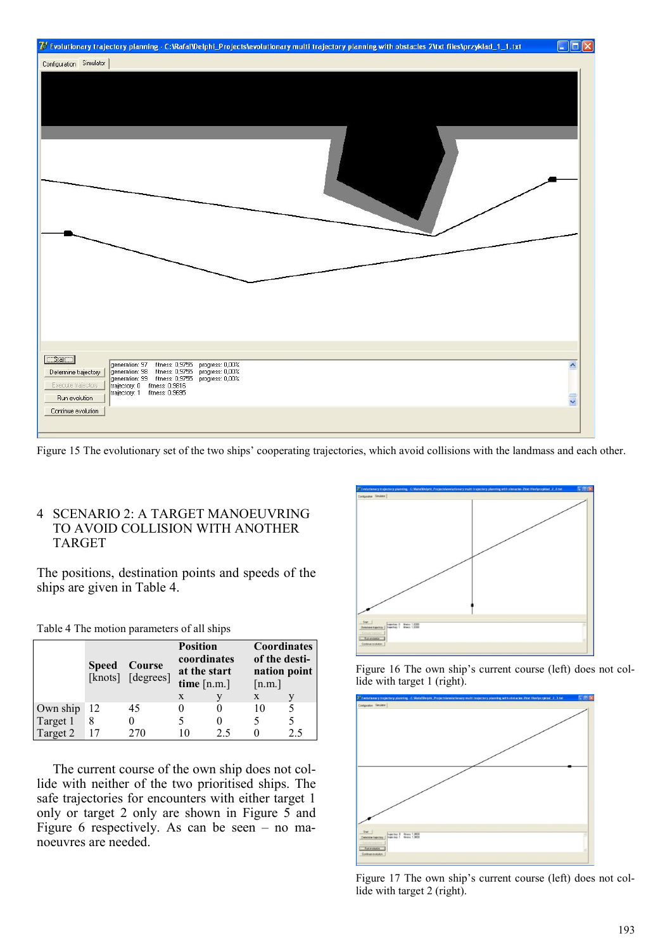

Figure 15 The evolutionary set of the two ships' cooperating trajectories, which avoid collisions with the landmass and each other.

#### 4 SCENARIO 2: A TARGET MANOEUVRING TO AVOID COLLISION WITH ANOTHER TARGET

The positions, destination points and speeds of the ships are given in Table 4.

| Table 4 The motion parameters of all ships |  |
|--------------------------------------------|--|
|--------------------------------------------|--|

|          |    | <b>Speed</b> Course<br>[knots] [degrees] | <b>Position</b><br>coordinates<br>at the start<br>time $[n.m.]$ |    | <b>Coordinates</b><br>of the desti-<br>nation point<br>[n.m.] |     |
|----------|----|------------------------------------------|-----------------------------------------------------------------|----|---------------------------------------------------------------|-----|
|          |    |                                          | X                                                               |    | X                                                             |     |
| Own ship | 12 | 45                                       |                                                                 |    | 10                                                            |     |
| Target 1 | 8  |                                          |                                                                 |    |                                                               |     |
| Target 2 |    | 270                                      |                                                                 | 25 |                                                               | 2.5 |

The current course of the own ship does not collide with neither of the two prioritised ships. The safe trajectories for encounters with either target 1 only or target 2 only are shown in Figure 5 and Figure 6 respectively. As can be seen – no manoeuvres are needed.



Figure 16 The own ship's current course (left) does not collide with target 1 (right).



Figure 17 The own ship's current course (left) does not collide with target 2 (right).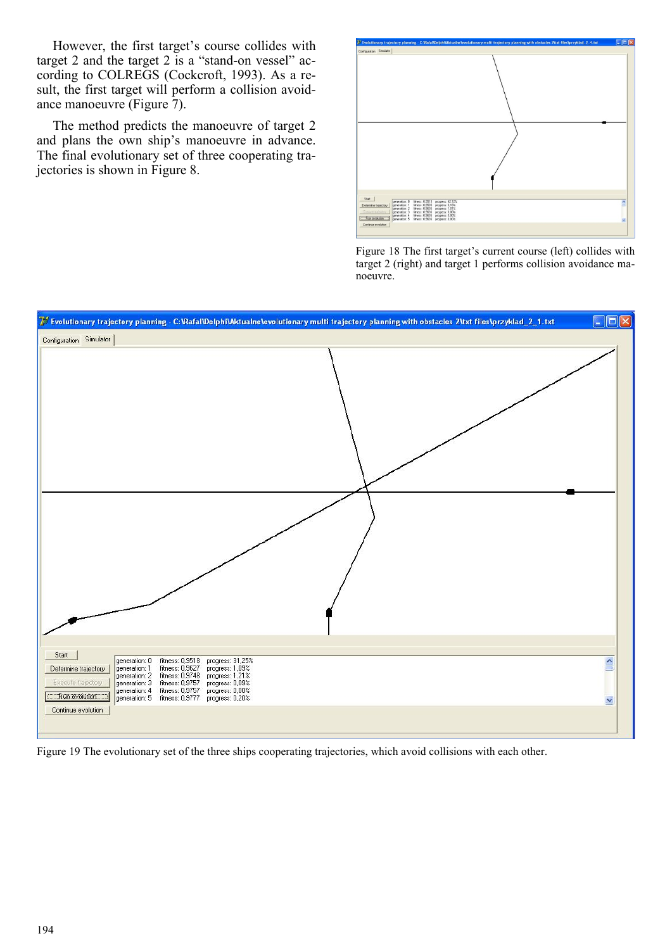However, the first target's course collides with target 2 and the target 2 is a "stand-on vessel" according to COLREGS (Cockcroft, 1993). As a result, the first target will perform a collision avoidance manoeuvre (Figure 7).

The method predicts the manoeuvre of target 2 and plans the own ship's manoeuvre in advance. The final evolutionary set of three cooperating trajectories is shown in Figure 8.



Figure 18 The first target's current course (left) collides with target 2 (right) and target 1 performs collision avoidance manoeuvre.



Figure 19 The evolutionary set of the three ships cooperating trajectories, which avoid collisions with each other.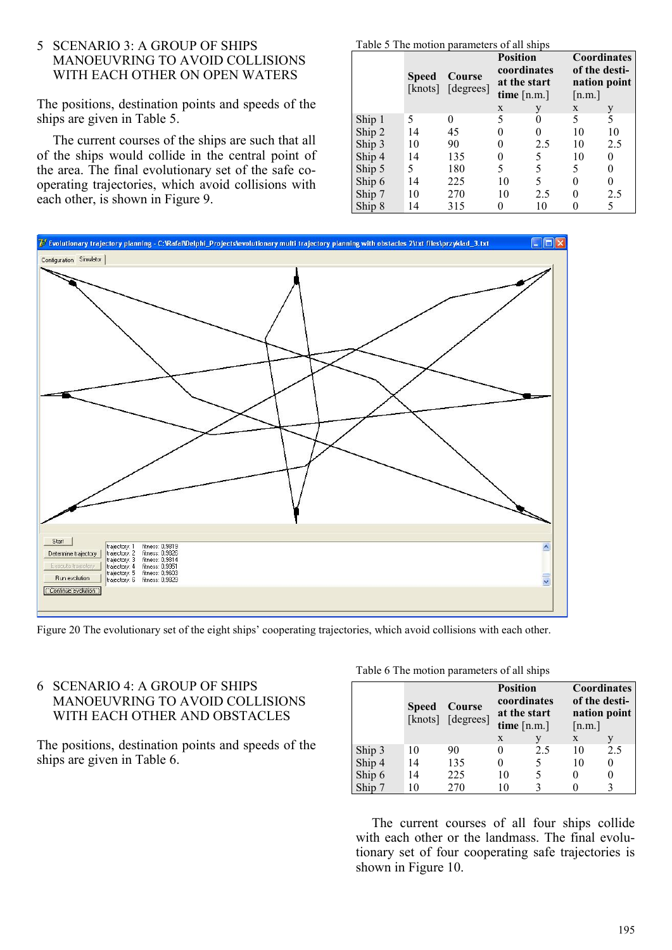#### 5 SCENARIO 3: A GROUP OF SHIPS MANOEUVRING TO AVOID COLLISIONS WITH EACH OTHER ON OPEN WATERS

The positions, destination points and speeds of the ships are given in Table 5.

The current courses of the ships are such that all of the ships would collide in the central point of the area. The final evolutionary set of the safe cooperating trajectories, which avoid collisions with each other, is shown in Figure 9.

Table 5 The motion parameters of all ships

|        | Speed | coordinates<br>of the desti-<br>Course<br>at the start<br>[knots] [degrees]<br>time $[n.m.]$<br>[n.m.] |    | <b>Position</b> |              | <b>Coordinates</b><br>nation point |
|--------|-------|--------------------------------------------------------------------------------------------------------|----|-----------------|--------------|------------------------------------|
|        |       |                                                                                                        | X  |                 | X            | y                                  |
| Ship 1 | 5     | 0                                                                                                      | 5  |                 | 5            | 5                                  |
| Ship 2 | 14    | 45                                                                                                     |    |                 | 10           | 10                                 |
| Ship 3 | 10    | 90                                                                                                     |    | 2.5             | 10           | 2.5                                |
| Ship 4 | 14    | 135                                                                                                    |    | 5               | 10           | 0                                  |
| Ship 5 | 5.    | 180                                                                                                    | 5  | 5               | 5            | 0                                  |
| Ship 6 | 14    | 225                                                                                                    | 10 | 5               | 0            | 0                                  |
| Ship 7 | 10    | 270                                                                                                    | 10 | 2.5             | $\mathbf{0}$ | 2.5                                |
| Ship 8 | 14    | 315                                                                                                    |    | 10              |              | 5                                  |



Figure 20 The evolutionary set of the eight ships' cooperating trajectories, which avoid collisions with each other.

#### 6 SCENARIO 4: A GROUP OF SHIPS MANOEUVRING TO AVOID COLLISIONS WITH EACH OTHER AND OBSTACLES

The positions, destination points and speeds of the ships are given in Table 6.

#### Table 6 The motion parameters of all ships

|        | Speed | <b>Position</b><br>coordinates<br>Course<br>at the start<br>[knots] [degrees]<br>time $[n.m.]$<br>[n.m.] |    |     |    | <b>Coordinates</b><br>of the desti-<br>nation point |
|--------|-------|----------------------------------------------------------------------------------------------------------|----|-----|----|-----------------------------------------------------|
|        |       |                                                                                                          | X  |     | X  |                                                     |
| Ship 3 | 10    | 90                                                                                                       |    | 2.5 | 10 | 2.5                                                 |
| Ship 4 | 14    | 135                                                                                                      |    |     | 10 | $\theta$                                            |
| Ship 6 | 14    | 225                                                                                                      | 10 |     |    |                                                     |
| Ship 7 | 10    | 270                                                                                                      | 10 |     |    |                                                     |

The current courses of all four ships collide with each other or the landmass. The final evolutionary set of four cooperating safe trajectories is shown in Figure 10.